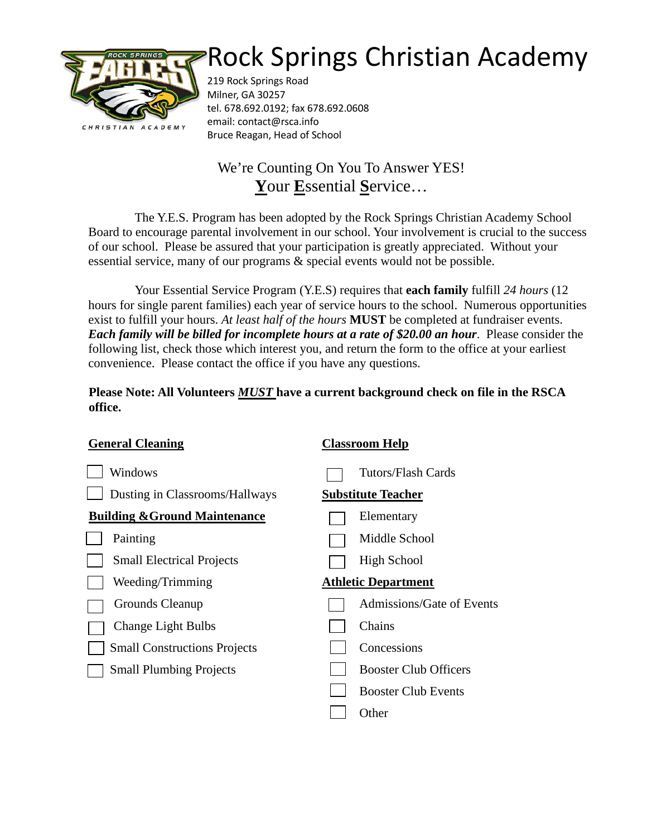## Rock Springs Christian Academy



219 Rock Springs Road Milner, GA 30257 tel. 678.692.0192; fax 678.692.0608 email: contact@rsca.info Bruce Reagan, Head of School

## We're Counting On You To Answer YES! **Y**our **E**ssential **S**ervice…

The Y.E.S. Program has been adopted by the Rock Springs Christian Academy School Board to encourage parental involvement in our school. Your involvement is crucial to the success of our school. Please be assured that your participation is greatly appreciated. Without your essential service, many of our programs & special events would not be possible.

Your Essential Service Program (Y.E.S) requires that **each family** fulfill *24 hours* (12 hours for single parent families) each year of service hours to the school. Numerous opportunities exist to fulfill your hours. *At least half of the hours* **MUST** be completed at fundraiser events. *Each family will be billed for incomplete hours at a rate of \$20.00 an hour*. Please consider the following list, check those which interest you, and return the form to the office at your earliest convenience. Please contact the office if you have any questions.

**Please Note: All Volunteers** *MUST* **have a current background check on file in the RSCA office.**

| <b>General Cleaning</b>                  | <b>Classroom Help</b>        |  |
|------------------------------------------|------------------------------|--|
| Windows                                  | Tutors/Flash Cards           |  |
| Dusting in Classrooms/Hallways           | <b>Substitute Teacher</b>    |  |
| <b>Building &amp; Ground Maintenance</b> | Elementary                   |  |
| Painting                                 | Middle School                |  |
| <b>Small Electrical Projects</b>         | <b>High School</b>           |  |
| Weeding/Trimming                         | <b>Athletic Department</b>   |  |
| Grounds Cleanup                          | Admissions/Gate of Events    |  |
| <b>Change Light Bulbs</b>                | Chains                       |  |
| <b>Small Constructions Projects</b>      | Concessions                  |  |
| <b>Small Plumbing Projects</b>           | <b>Booster Club Officers</b> |  |
|                                          | <b>Booster Club Events</b>   |  |
|                                          | Other                        |  |